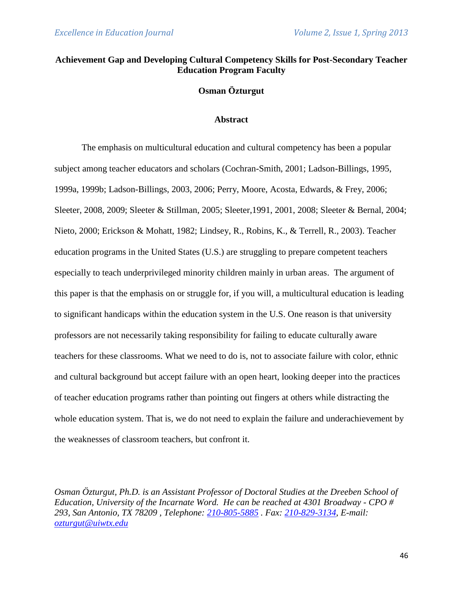# **Achievement Gap and Developing Cultural Competency Skills for Post-Secondary Teacher Education Program Faculty**

# **Osman Özturgut**

#### **Abstract**

The emphasis on multicultural education and cultural competency has been a popular subject among teacher educators and scholars (Cochran-Smith, 2001; Ladson-Billings, 1995, 1999a, 1999b; Ladson-Billings, 2003, 2006; Perry, Moore, Acosta, Edwards, & Frey, 2006; Sleeter, 2008, 2009; Sleeter & Stillman, 2005; Sleeter,1991, 2001, 2008; Sleeter & Bernal, 2004; Nieto, 2000; Erickson & Mohatt, 1982; Lindsey, R., Robins, K., & Terrell, R., 2003). Teacher education programs in the United States (U.S.) are struggling to prepare competent teachers especially to teach underprivileged minority children mainly in urban areas. The argument of this paper is that the emphasis on or struggle for, if you will, a multicultural education is leading to significant handicaps within the education system in the U.S. One reason is that university professors are not necessarily taking responsibility for failing to educate culturally aware teachers for these classrooms. What we need to do is, not to associate failure with color, ethnic and cultural background but accept failure with an open heart, looking deeper into the practices of teacher education programs rather than pointing out fingers at others while distracting the whole education system. That is, we do not need to explain the failure and underachievement by the weaknesses of classroom teachers, but confront it.

*Osman Özturgut, Ph.D. is an Assistant Professor of Doctoral Studies at the Dreeben School of Education, University of the Incarnate Word. He can be reached at 4301 Broadway - CPO # 293, San Antonio, TX 78209 , Telephone: [210-805-5885](tel:210-805-5885) . Fax: [210-829-3134,](tel:210-829-3134) E-mail: [ozturgut@uiwtx.edu](mailto:ozturgut@uiwtx.edu)*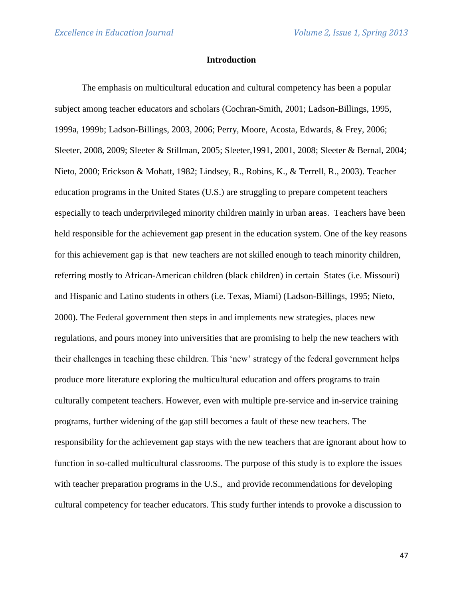### **Introduction**

The emphasis on multicultural education and cultural competency has been a popular subject among teacher educators and scholars (Cochran-Smith, 2001; Ladson-Billings, 1995, 1999a, 1999b; Ladson-Billings, 2003, 2006; Perry, Moore, Acosta, Edwards, & Frey, 2006; Sleeter, 2008, 2009; Sleeter & Stillman, 2005; Sleeter,1991, 2001, 2008; Sleeter & Bernal, 2004; Nieto, 2000; Erickson & Mohatt, 1982; Lindsey, R., Robins, K., & Terrell, R., 2003). Teacher education programs in the United States (U.S.) are struggling to prepare competent teachers especially to teach underprivileged minority children mainly in urban areas. Teachers have been held responsible for the achievement gap present in the education system. One of the key reasons for this achievement gap is that new teachers are not skilled enough to teach minority children, referring mostly to African-American children (black children) in certain States (i.e. Missouri) and Hispanic and Latino students in others (i.e. Texas, Miami) (Ladson-Billings, 1995; Nieto, 2000). The Federal government then steps in and implements new strategies, places new regulations, and pours money into universities that are promising to help the new teachers with their challenges in teaching these children. This 'new' strategy of the federal government helps produce more literature exploring the multicultural education and offers programs to train culturally competent teachers. However, even with multiple pre-service and in-service training programs, further widening of the gap still becomes a fault of these new teachers. The responsibility for the achievement gap stays with the new teachers that are ignorant about how to function in so-called multicultural classrooms. The purpose of this study is to explore the issues with teacher preparation programs in the U.S., and provide recommendations for developing cultural competency for teacher educators. This study further intends to provoke a discussion to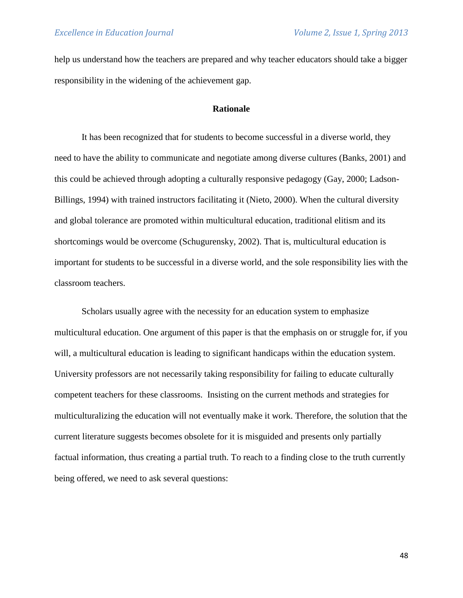help us understand how the teachers are prepared and why teacher educators should take a bigger responsibility in the widening of the achievement gap.

### **Rationale**

It has been recognized that for students to become successful in a diverse world, they need to have the ability to communicate and negotiate among diverse cultures (Banks, 2001) and this could be achieved through adopting a culturally responsive pedagogy (Gay, 2000; Ladson-Billings, 1994) with trained instructors facilitating it (Nieto, 2000). When the cultural diversity and global tolerance are promoted within multicultural education, traditional elitism and its shortcomings would be overcome (Schugurensky, 2002). That is, multicultural education is important for students to be successful in a diverse world, and the sole responsibility lies with the classroom teachers.

Scholars usually agree with the necessity for an education system to emphasize multicultural education. One argument of this paper is that the emphasis on or struggle for, if you will, a multicultural education is leading to significant handicaps within the education system. University professors are not necessarily taking responsibility for failing to educate culturally competent teachers for these classrooms. Insisting on the current methods and strategies for multiculturalizing the education will not eventually make it work. Therefore, the solution that the current literature suggests becomes obsolete for it is misguided and presents only partially factual information, thus creating a partial truth. To reach to a finding close to the truth currently being offered, we need to ask several questions: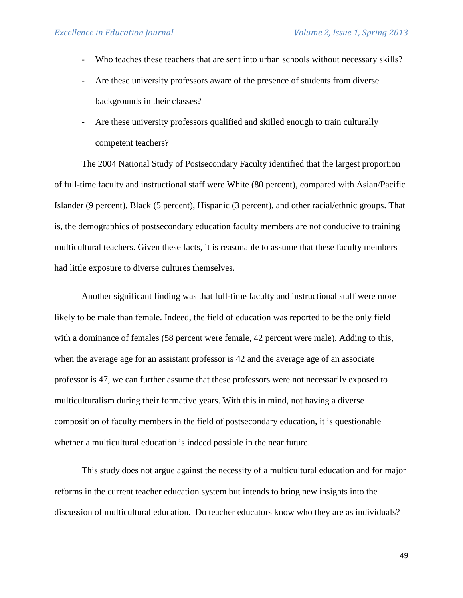- Who teaches these teachers that are sent into urban schools without necessary skills?
- Are these university professors aware of the presence of students from diverse backgrounds in their classes?
- Are these university professors qualified and skilled enough to train culturally competent teachers?

The 2004 National Study of Postsecondary Faculty identified that the largest proportion of full-time faculty and instructional staff were White (80 percent), compared with Asian/Pacific Islander (9 percent), Black (5 percent), Hispanic (3 percent), and other racial/ethnic groups. That is, the demographics of postsecondary education faculty members are not conducive to training multicultural teachers. Given these facts, it is reasonable to assume that these faculty members had little exposure to diverse cultures themselves.

Another significant finding was that full-time faculty and instructional staff were more likely to be male than female. Indeed, the field of education was reported to be the only field with a dominance of females (58 percent were female, 42 percent were male). Adding to this, when the average age for an assistant professor is 42 and the average age of an associate professor is 47, we can further assume that these professors were not necessarily exposed to multiculturalism during their formative years. With this in mind, not having a diverse composition of faculty members in the field of postsecondary education, it is questionable whether a multicultural education is indeed possible in the near future.

This study does not argue against the necessity of a multicultural education and for major reforms in the current teacher education system but intends to bring new insights into the discussion of multicultural education. Do teacher educators know who they are as individuals?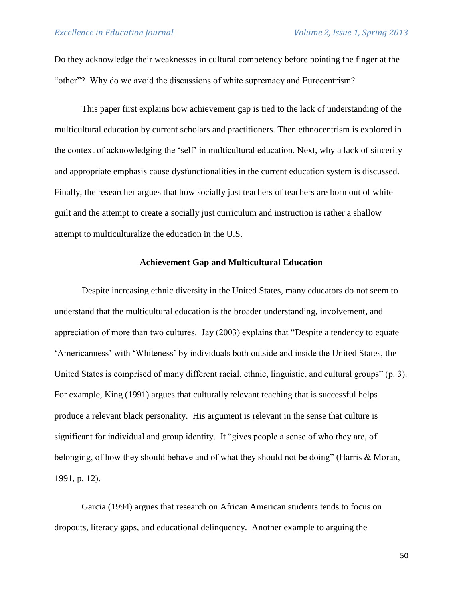Do they acknowledge their weaknesses in cultural competency before pointing the finger at the "other"? Why do we avoid the discussions of white supremacy and Eurocentrism?

This paper first explains how achievement gap is tied to the lack of understanding of the multicultural education by current scholars and practitioners. Then ethnocentrism is explored in the context of acknowledging the 'self' in multicultural education. Next, why a lack of sincerity and appropriate emphasis cause dysfunctionalities in the current education system is discussed. Finally, the researcher argues that how socially just teachers of teachers are born out of white guilt and the attempt to create a socially just curriculum and instruction is rather a shallow attempt to multiculturalize the education in the U.S.

## **Achievement Gap and Multicultural Education**

Despite increasing ethnic diversity in the United States, many educators do not seem to understand that the multicultural education is the broader understanding, involvement, and appreciation of more than two cultures. Jay (2003) explains that "Despite a tendency to equate 'Americanness' with 'Whiteness' by individuals both outside and inside the United States, the United States is comprised of many different racial, ethnic, linguistic, and cultural groups" (p. 3). For example, King (1991) argues that culturally relevant teaching that is successful helps produce a relevant black personality. His argument is relevant in the sense that culture is significant for individual and group identity. It "gives people a sense of who they are, of belonging, of how they should behave and of what they should not be doing" (Harris & Moran, 1991, p. 12).

Garcia (1994) argues that research on African American students tends to focus on dropouts, literacy gaps, and educational delinquency. Another example to arguing the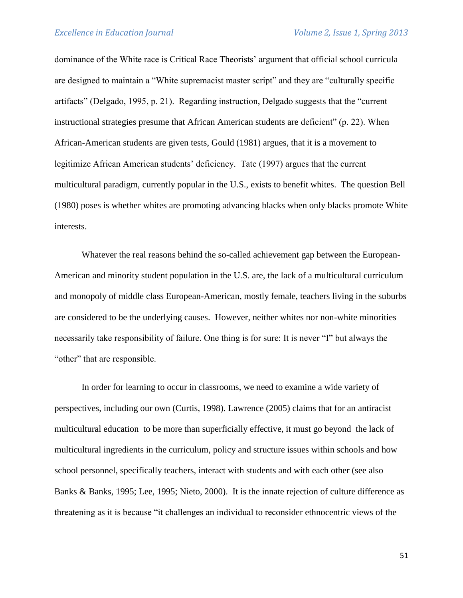dominance of the White race is Critical Race Theorists' argument that official school curricula are designed to maintain a "White supremacist master script" and they are "culturally specific artifacts" (Delgado, 1995, p. 21). Regarding instruction, Delgado suggests that the "current instructional strategies presume that African American students are deficient" (p. 22). When African-American students are given tests, Gould (1981) argues, that it is a movement to legitimize African American students' deficiency. Tate (1997) argues that the current multicultural paradigm, currently popular in the U.S., exists to benefit whites. The question Bell (1980) poses is whether whites are promoting advancing blacks when only blacks promote White interests.

Whatever the real reasons behind the so-called achievement gap between the European-American and minority student population in the U.S. are, the lack of a multicultural curriculum and monopoly of middle class European-American, mostly female, teachers living in the suburbs are considered to be the underlying causes. However, neither whites nor non-white minorities necessarily take responsibility of failure. One thing is for sure: It is never "I" but always the "other" that are responsible.

In order for learning to occur in classrooms, we need to examine a wide variety of perspectives, including our own (Curtis, 1998). Lawrence (2005) claims that for an antiracist multicultural education to be more than superficially effective, it must go beyond the lack of multicultural ingredients in the curriculum, policy and structure issues within schools and how school personnel, specifically teachers, interact with students and with each other (see also Banks & Banks, 1995; Lee, 1995; Nieto, 2000). It is the innate rejection of culture difference as threatening as it is because "it challenges an individual to reconsider ethnocentric views of the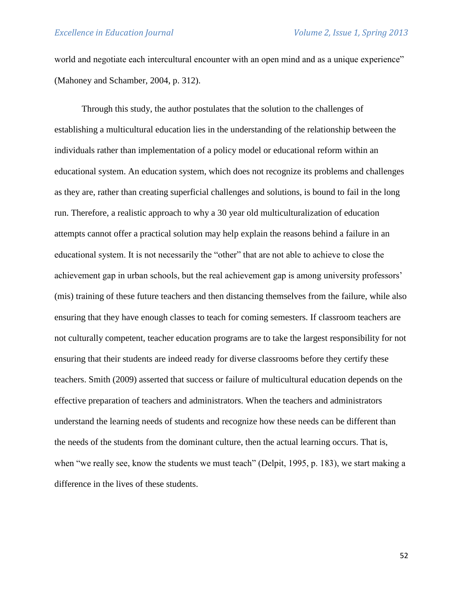world and negotiate each intercultural encounter with an open mind and as a unique experience" (Mahoney and Schamber, 2004, p. 312).

Through this study, the author postulates that the solution to the challenges of establishing a multicultural education lies in the understanding of the relationship between the individuals rather than implementation of a policy model or educational reform within an educational system. An education system, which does not recognize its problems and challenges as they are, rather than creating superficial challenges and solutions, is bound to fail in the long run. Therefore, a realistic approach to why a 30 year old multiculturalization of education attempts cannot offer a practical solution may help explain the reasons behind a failure in an educational system. It is not necessarily the "other" that are not able to achieve to close the achievement gap in urban schools, but the real achievement gap is among university professors' (mis) training of these future teachers and then distancing themselves from the failure, while also ensuring that they have enough classes to teach for coming semesters. If classroom teachers are not culturally competent, teacher education programs are to take the largest responsibility for not ensuring that their students are indeed ready for diverse classrooms before they certify these teachers. Smith (2009) asserted that success or failure of multicultural education depends on the effective preparation of teachers and administrators. When the teachers and administrators understand the learning needs of students and recognize how these needs can be different than the needs of the students from the dominant culture, then the actual learning occurs. That is, when "we really see, know the students we must teach" (Delpit, 1995, p. 183), we start making a difference in the lives of these students.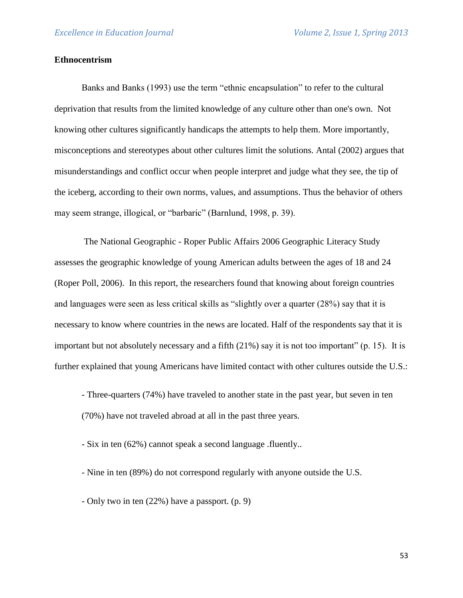# **Ethnocentrism**

Banks and Banks (1993) use the term "ethnic encapsulation" to refer to the cultural deprivation that results from the limited knowledge of any culture other than one's own. Not knowing other cultures significantly handicaps the attempts to help them. More importantly, misconceptions and stereotypes about other cultures limit the solutions. Antal (2002) argues that misunderstandings and conflict occur when people interpret and judge what they see, the tip of the iceberg, according to their own norms, values, and assumptions. Thus the behavior of others may seem strange, illogical, or "barbaric" (Barnlund, 1998, p. 39).

The National Geographic - Roper Public Affairs 2006 Geographic Literacy Study assesses the geographic knowledge of young American adults between the ages of 18 and 24 (Roper Poll, 2006). In this report, the researchers found that knowing about foreign countries and languages were seen as less critical skills as "slightly over a quarter (28%) say that it is necessary to know where countries in the news are located. Half of the respondents say that it is important but not absolutely necessary and a fifth (21%) say it is not too important" (p. 15). It is further explained that young Americans have limited contact with other cultures outside the U.S.:

- Three-quarters (74%) have traveled to another state in the past year, but seven in ten (70%) have not traveled abroad at all in the past three years.

- Six in ten (62%) cannot speak a second language .fluently..

- Nine in ten (89%) do not correspond regularly with anyone outside the U.S.
- Only two in ten (22%) have a passport. (p. 9)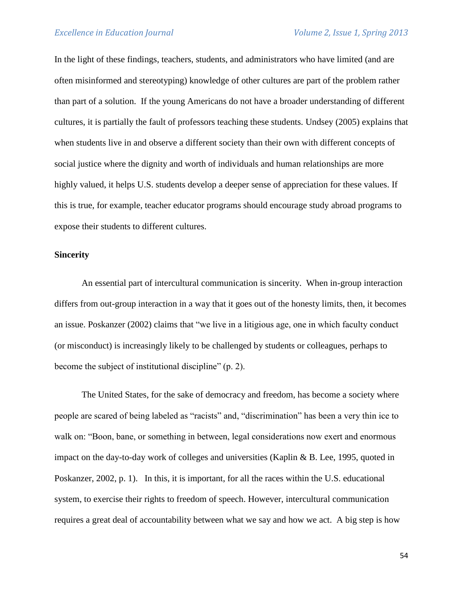In the light of these findings, teachers, students, and administrators who have limited (and are often misinformed and stereotyping) knowledge of other cultures are part of the problem rather than part of a solution. If the young Americans do not have a broader understanding of different cultures, it is partially the fault of professors teaching these students. Undsey (2005) explains that when students live in and observe a different society than their own with different concepts of social justice where the dignity and worth of individuals and human relationships are more highly valued, it helps U.S. students develop a deeper sense of appreciation for these values. If this is true, for example, teacher educator programs should encourage study abroad programs to expose their students to different cultures.

#### **Sincerity**

An essential part of intercultural communication is sincerity. When in-group interaction differs from out-group interaction in a way that it goes out of the honesty limits, then, it becomes an issue. Poskanzer (2002) claims that "we live in a litigious age, one in which faculty conduct (or misconduct) is increasingly likely to be challenged by students or colleagues, perhaps to become the subject of institutional discipline" (p. 2).

The United States, for the sake of democracy and freedom, has become a society where people are scared of being labeled as "racists" and, "discrimination" has been a very thin ice to walk on: "Boon, bane, or something in between, legal considerations now exert and enormous impact on the day-to-day work of colleges and universities (Kaplin & B. Lee, 1995, quoted in Poskanzer, 2002, p. 1). In this, it is important, for all the races within the U.S. educational system, to exercise their rights to freedom of speech. However, intercultural communication requires a great deal of accountability between what we say and how we act. A big step is how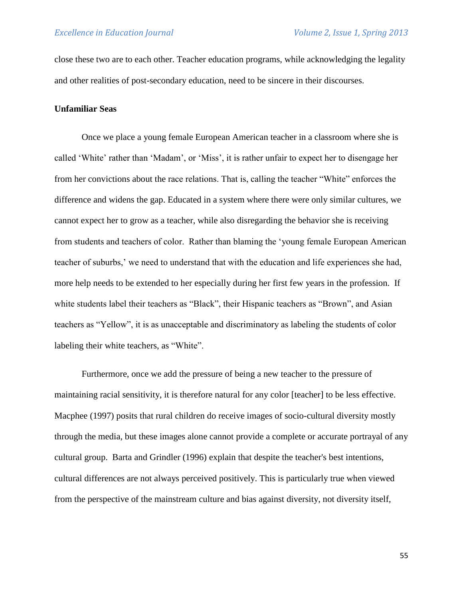close these two are to each other. Teacher education programs, while acknowledging the legality and other realities of post-secondary education, need to be sincere in their discourses.

### **Unfamiliar Seas**

Once we place a young female European American teacher in a classroom where she is called 'White' rather than 'Madam', or 'Miss', it is rather unfair to expect her to disengage her from her convictions about the race relations. That is, calling the teacher "White" enforces the difference and widens the gap. Educated in a system where there were only similar cultures, we cannot expect her to grow as a teacher, while also disregarding the behavior she is receiving from students and teachers of color. Rather than blaming the 'young female European American teacher of suburbs,' we need to understand that with the education and life experiences she had, more help needs to be extended to her especially during her first few years in the profession. If white students label their teachers as "Black", their Hispanic teachers as "Brown", and Asian teachers as "Yellow", it is as unacceptable and discriminatory as labeling the students of color labeling their white teachers, as "White".

Furthermore, once we add the pressure of being a new teacher to the pressure of maintaining racial sensitivity, it is therefore natural for any color [teacher] to be less effective. Macphee (1997) posits that rural children do receive images of socio-cultural diversity mostly through the media, but these images alone cannot provide a complete or accurate portrayal of any cultural group. Barta and Grindler (1996) explain that despite the teacher's best intentions, cultural differences are not always perceived positively. This is particularly true when viewed from the perspective of the mainstream culture and bias against diversity, not diversity itself,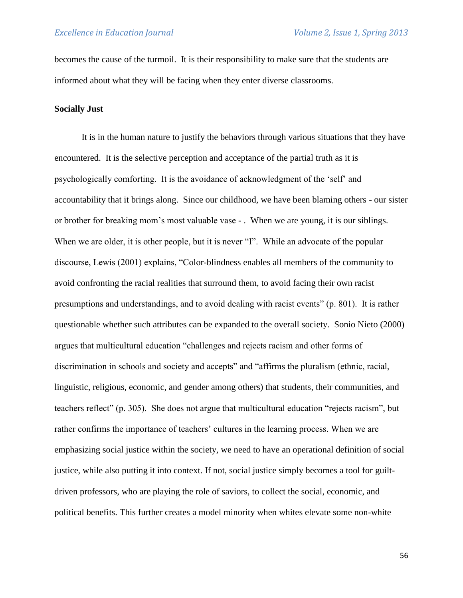becomes the cause of the turmoil. It is their responsibility to make sure that the students are informed about what they will be facing when they enter diverse classrooms.

### **Socially Just**

It is in the human nature to justify the behaviors through various situations that they have encountered. It is the selective perception and acceptance of the partial truth as it is psychologically comforting. It is the avoidance of acknowledgment of the 'self' and accountability that it brings along. Since our childhood, we have been blaming others - our sister or brother for breaking mom's most valuable vase - . When we are young, it is our siblings. When we are older, it is other people, but it is never "I". While an advocate of the popular discourse, Lewis (2001) explains, "Color-blindness enables all members of the community to avoid confronting the racial realities that surround them, to avoid facing their own racist presumptions and understandings, and to avoid dealing with racist events" (p. 801). It is rather questionable whether such attributes can be expanded to the overall society. Sonio Nieto (2000) argues that multicultural education "challenges and rejects racism and other forms of discrimination in schools and society and accepts" and "affirms the pluralism (ethnic, racial, linguistic, religious, economic, and gender among others) that students, their communities, and teachers reflect" (p. 305). She does not argue that multicultural education "rejects racism", but rather confirms the importance of teachers' cultures in the learning process. When we are emphasizing social justice within the society, we need to have an operational definition of social justice, while also putting it into context. If not, social justice simply becomes a tool for guiltdriven professors, who are playing the role of saviors, to collect the social, economic, and political benefits. This further creates a model minority when whites elevate some non-white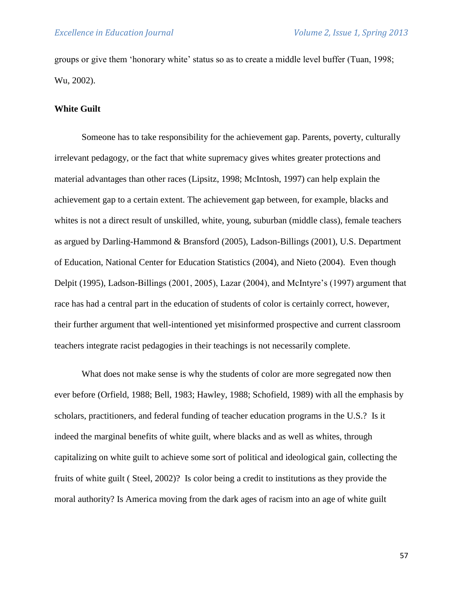groups or give them 'honorary white' status so as to create a middle level buffer (Tuan, 1998; Wu, 2002).

### **White Guilt**

Someone has to take responsibility for the achievement gap. Parents, poverty, culturally irrelevant pedagogy, or the fact that white supremacy gives whites greater protections and material advantages than other races (Lipsitz, 1998; McIntosh, 1997) can help explain the achievement gap to a certain extent. The achievement gap between, for example, blacks and whites is not a direct result of unskilled, white, young, suburban (middle class), female teachers as argued by Darling-Hammond & Bransford (2005), Ladson-Billings (2001), U.S. Department of Education, National Center for Education Statistics (2004), and Nieto (2004). Even though Delpit (1995), Ladson-Billings (2001, 2005), Lazar (2004), and McIntyre's (1997) argument that race has had a central part in the education of students of color is certainly correct, however, their further argument that well-intentioned yet misinformed prospective and current classroom teachers integrate racist pedagogies in their teachings is not necessarily complete.

What does not make sense is why the students of color are more segregated now then ever before (Orfield, 1988; Bell, 1983; Hawley, 1988; Schofield, 1989) with all the emphasis by scholars, practitioners, and federal funding of teacher education programs in the U.S.? Is it indeed the marginal benefits of white guilt, where blacks and as well as whites, through capitalizing on white guilt to achieve some sort of political and ideological gain, collecting the fruits of white guilt ( Steel, 2002)? Is color being a credit to institutions as they provide the moral authority? Is America moving from the dark ages of racism into an age of white guilt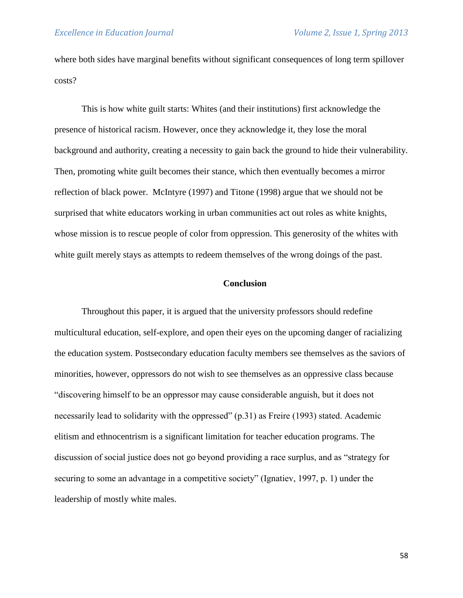where both sides have marginal benefits without significant consequences of long term spillover costs?

This is how white guilt starts: Whites (and their institutions) first acknowledge the presence of historical racism. However, once they acknowledge it, they lose the moral background and authority, creating a necessity to gain back the ground to hide their vulnerability. Then, promoting white guilt becomes their stance, which then eventually becomes a mirror reflection of black power. McIntyre (1997) and Titone (1998) argue that we should not be surprised that white educators working in urban communities act out roles as white knights, whose mission is to rescue people of color from oppression. This generosity of the whites with white guilt merely stays as attempts to redeem themselves of the wrong doings of the past.

#### **Conclusion**

Throughout this paper, it is argued that the university professors should redefine multicultural education, self-explore, and open their eyes on the upcoming danger of racializing the education system. Postsecondary education faculty members see themselves as the saviors of minorities, however, oppressors do not wish to see themselves as an oppressive class because "discovering himself to be an oppressor may cause considerable anguish, but it does not necessarily lead to solidarity with the oppressed" (p.31) as Freire (1993) stated. Academic elitism and ethnocentrism is a significant limitation for teacher education programs. The discussion of social justice does not go beyond providing a race surplus, and as "strategy for securing to some an advantage in a competitive society" (Ignatiev, 1997, p. 1) under the leadership of mostly white males.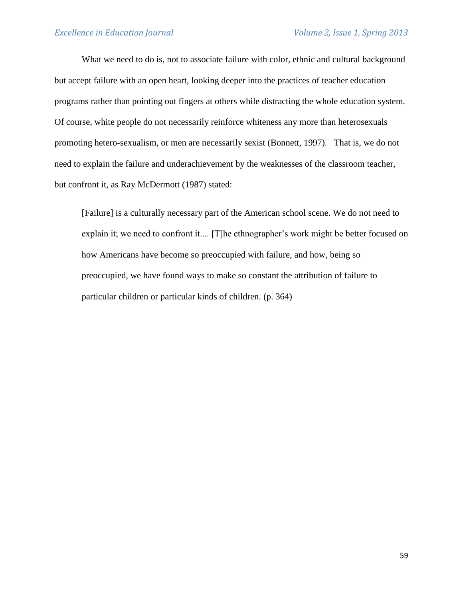What we need to do is, not to associate failure with color, ethnic and cultural background but accept failure with an open heart, looking deeper into the practices of teacher education programs rather than pointing out fingers at others while distracting the whole education system. Of course, white people do not necessarily reinforce whiteness any more than heterosexuals promoting hetero-sexualism, or men are necessarily sexist (Bonnett, 1997). That is, we do not need to explain the failure and underachievement by the weaknesses of the classroom teacher, but confront it, as Ray McDermott (1987) stated:

[Failure] is a culturally necessary part of the American school scene. We do not need to explain it; we need to confront it.... [T]he ethnographer's work might be better focused on how Americans have become so preoccupied with failure, and how, being so preoccupied, we have found ways to make so constant the attribution of failure to particular children or particular kinds of children. (p. 364)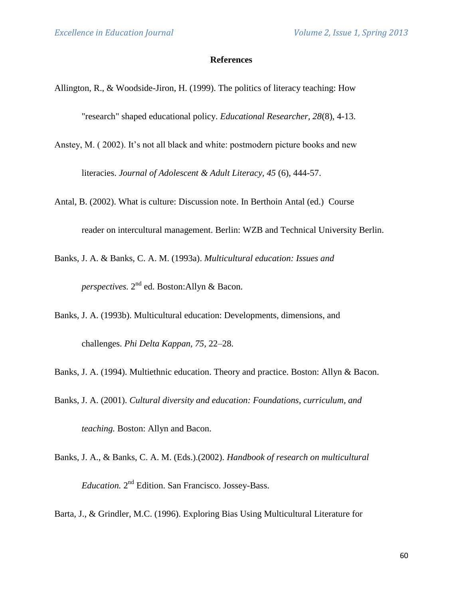#### **References**

- Allington, R., & Woodside-Jiron, H. (1999). The politics of literacy teaching: How "research" shaped educational policy. *Educational Researcher, 28*(8), 4-13.
- Anstey, M. ( 2002). It's not all black and white: postmodern picture books and new literacies. *Journal of Adolescent & Adult Literacy, 45* (6), 444-57.
- Antal, B. (2002). What is culture: Discussion note. In Berthoin Antal (ed.) Course reader on intercultural management. Berlin: WZB and Technical University Berlin.
- Banks, J. A. & Banks, C. A. M. (1993a). *Multicultural education: Issues and perspectives.* 2 nd ed. Boston:Allyn & Bacon.
- Banks, J. A. (1993b). Multicultural education: Developments, dimensions, and challenges. *Phi Delta Kappan, 75,* 22–28.
- Banks, J. A. (1994). Multiethnic education. Theory and practice. Boston: Allyn & Bacon.
- Banks, J. A. (2001). *Cultural diversity and education: Foundations, curriculum, and teaching.* Boston: Allyn and Bacon.
- Banks, J. A., & Banks, C. A. M. (Eds.).(2002). *Handbook of research on multicultural*  Education. 2<sup>nd</sup> Edition. San Francisco. Jossey-Bass.

Barta, J., & Grindler, M.C. (1996). Exploring Bias Using Multicultural Literature for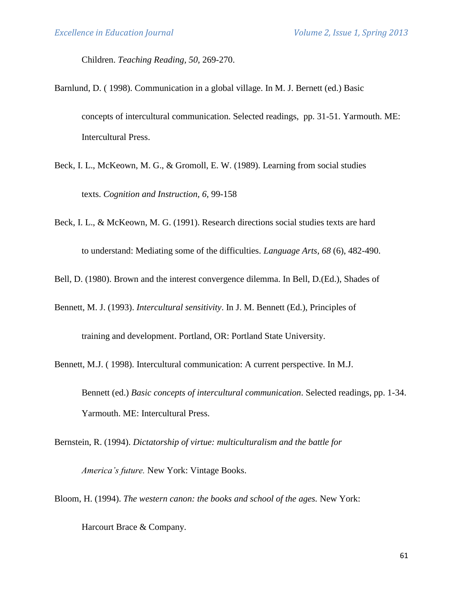Children. *Teaching Reading, 50,* 269-270.

- Barnlund, D. ( 1998). Communication in a global village. In M. J. Bernett (ed.) Basic concepts of intercultural communication. Selected readings, pp. 31-51. Yarmouth. ME: Intercultural Press.
- Beck, I. L., McKeown, M. G., & Gromoll, E. W. (1989). Learning from social studies texts. *Cognition and Instruction, 6,* 99-158
- Beck, I. L., & McKeown, M. G. (1991). Research directions social studies texts are hard to understand: Mediating some of the difficulties. *Language Arts, 68* (6), 482-490.
- Bell, D. (1980). Brown and the interest convergence dilemma. In Bell, D.(Ed.), Shades of
- Bennett, M. J. (1993). *Intercultural sensitivity*. In J. M. Bennett (Ed.), Principles of

training and development. Portland, OR: Portland State University.

Bennett, M.J. ( 1998). Intercultural communication: A current perspective. In M.J. Bennett (ed.) *Basic concepts of intercultural communication*. Selected readings, pp. 1-34.

Yarmouth. ME: Intercultural Press.

Bernstein, R. (1994). *Dictatorship of virtue: multiculturalism and the battle for* 

*America's future.* New York: Vintage Books.

Bloom, H. (1994). *The western canon: the books and school of the ages.* New York:

Harcourt Brace & Company.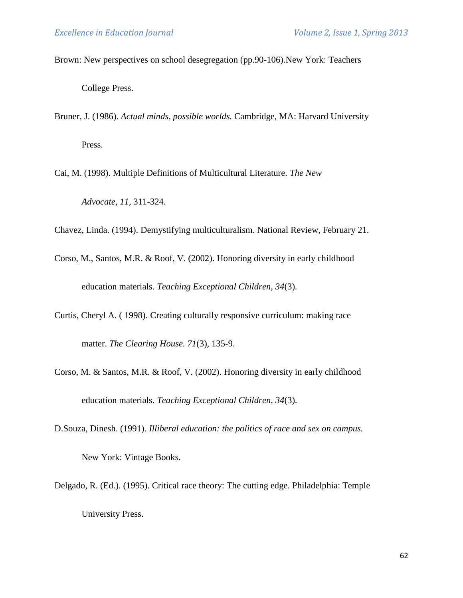Brown: New perspectives on school desegregation (pp.90-106).New York: Teachers

College Press.

- Bruner, J. (1986). *Actual minds, possible worlds.* Cambridge, MA: Harvard University Press.
- Cai, M. (1998). Multiple Definitions of Multicultural Literature. *The New Advocate, 11,* 311-324.

Chavez, Linda. (1994). Demystifying multiculturalism. National Review, February 21.

- Corso, M., Santos, M.R. & Roof, V. (2002). Honoring diversity in early childhood education materials. *Teaching Exceptional Children, 34*(3).
- Curtis, Cheryl A. ( 1998). Creating culturally responsive curriculum: making race matter. *The Clearing House. 71*(3), 135-9.
- Corso, M. & Santos, M.R. & Roof, V. (2002). Honoring diversity in early childhood education materials. *Teaching Exceptional Children, 34*(3).
- D.Souza, Dinesh. (1991). *Illiberal education: the politics of race and sex on campus.*

New York: Vintage Books.

Delgado, R. (Ed.). (1995). Critical race theory: The cutting edge. Philadelphia: Temple

University Press.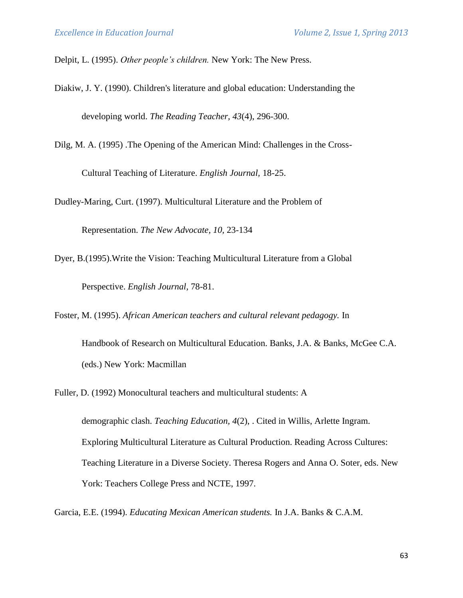Delpit, L. (1995). *Other people's children.* New York: The New Press.

- Diakiw, J. Y. (1990). Children's literature and global education: Understanding the developing world. *The Reading Teacher, 43*(4), 296-300.
- Dilg, M. A. (1995) .The Opening of the American Mind: Challenges in the Cross-

Cultural Teaching of Literature. *English Journal,* 18-25.

Dudley-Maring, Curt. (1997). Multicultural Literature and the Problem of

Representation. *The New Advocate, 10,* 23-134

Dyer, B.(1995).Write the Vision: Teaching Multicultural Literature from a Global Perspective. *English Journal,* 78-81.

Foster, M. (1995). *African American teachers and cultural relevant pedagogy.* In

Handbook of Research on Multicultural Education. Banks, J.A. & Banks, McGee C.A. (eds.) New York: Macmillan

Fuller, D. (1992) Monocultural teachers and multicultural students: A

demographic clash. *Teaching Education, 4*(2), . Cited in Willis, Arlette Ingram. Exploring Multicultural Literature as Cultural Production. Reading Across Cultures: Teaching Literature in a Diverse Society. Theresa Rogers and Anna O. Soter, eds. New York: Teachers College Press and NCTE, 1997.

Garcia, E.E. (1994). *Educating Mexican American students.* In J.A. Banks & C.A.M.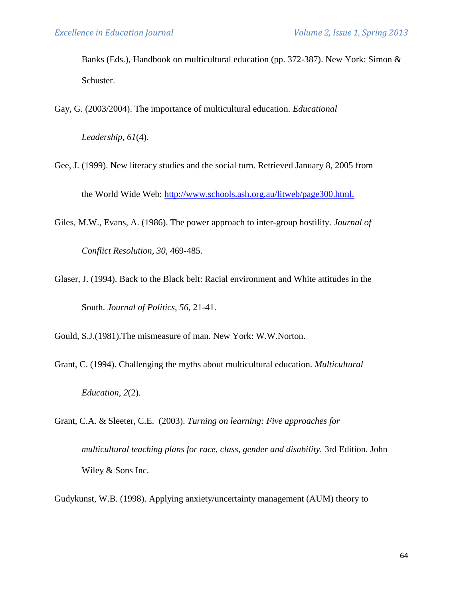Banks (Eds.), Handbook on multicultural education (pp. 372-387). New York: Simon & Schuster.

Gay, G. (2003/2004). The importance of multicultural education. *Educational* 

*Leadership, 61*(4).

Gee, J. (1999). New literacy studies and the social turn. Retrieved January 8, 2005 from the World Wide Web: [http://www.schools.ash.org.au/litweb/page300.html.](http://www.schools.ash.org.au/litweb/page300.html) 

Giles, M.W., Evans, A. (1986). The power approach to inter-group hostility. *Journal of Conflict Resolution, 30,* 469-485.

Glaser, J. (1994). Back to the Black belt: Racial environment and White attitudes in the South. *Journal of Politics, 56,* 21-41.

Gould, S.J.(1981).The mismeasure of man. New York: W.W.Norton.

Grant, C. (1994). Challenging the myths about multicultural education. *Multicultural Education, 2*(2).

Grant, C.A. & Sleeter, C.E. (2003). *Turning on learning: Five approaches for multicultural teaching plans for race, class, gender and disability.* 3rd Edition. John Wiley & Sons Inc.

Gudykunst, W.B. (1998). Applying anxiety/uncertainty management (AUM) theory to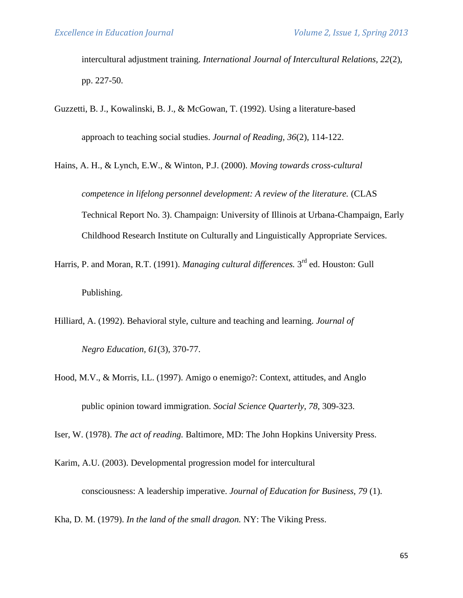intercultural adjustment training. *International Journal of Intercultural Relations, 22*(2), pp. 227-50.

- Guzzetti, B. J., Kowalinski, B. J., & McGowan, T. (1992). Using a literature-based approach to teaching social studies. *Journal of Reading, 36*(2), 114-122.
- Hains, A. H., & Lynch, E.W., & Winton, P.J. (2000). *Moving towards cross-cultural competence in lifelong personnel development: A review of the literature.* (CLAS Technical Report No. 3). Champaign: University of Illinois at Urbana-Champaign, Early Childhood Research Institute on Culturally and Linguistically Appropriate Services.
- Harris, P. and Moran, R.T. (1991). *Managing cultural differences*. 3<sup>rd</sup> ed. Houston: Gull Publishing.
- Hilliard, A. (1992). Behavioral style, culture and teaching and learning. *Journal of Negro Education, 61*(3), 370-77.
- Hood, M.V., & Morris, I.L. (1997). Amigo o enemigo?: Context, attitudes, and Anglo public opinion toward immigration. *Social Science Quarterly, 78,* 309-323.

Iser, W. (1978). *The act of reading.* Baltimore, MD: The John Hopkins University Press.

Karim, A.U. (2003). Developmental progression model for intercultural

consciousness: A leadership imperative. *Journal of Education for Business, 79* (1).

Kha, D. M. (1979). *In the land of the small dragon.* NY: The Viking Press.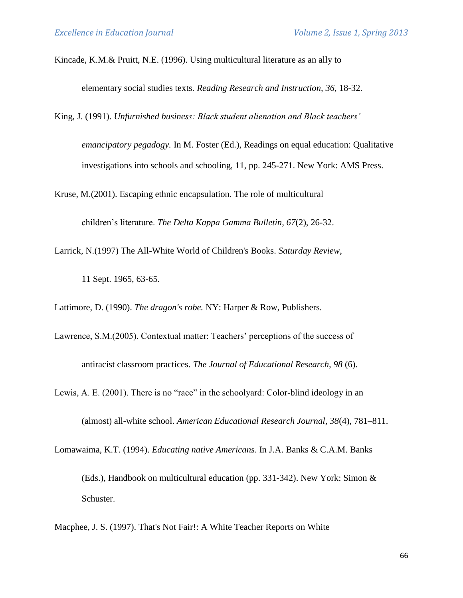Kincade, K.M.& Pruitt, N.E. (1996). Using multicultural literature as an ally to

elementary social studies texts. *Reading Research and Instruction, 36,* 18-32.

King, J. (1991). *Unfurnished business: Black student alienation and Black teachers'* 

*emancipatory pegadogy.* In M. Foster (Ed.), Readings on equal education: Qualitative investigations into schools and schooling, 11, pp. 245-271. New York: AMS Press.

Kruse, M.(2001). Escaping ethnic encapsulation. The role of multicultural

children's literature. *The Delta Kappa Gamma Bulletin, 67*(2), 26-32.

Larrick, N.(1997) The All-White World of Children's Books. *Saturday Review*,

11 Sept. 1965, 63-65.

Schuster.

Lattimore, D. (1990). *The dragon's robe.* NY: Harper & Row, Publishers.

Lawrence, S.M.(2005). Contextual matter: Teachers' perceptions of the success of

antiracist classroom practices. *The Journal of Educational Research, 98* (6).

Lewis, A. E. (2001). There is no "race" in the schoolyard: Color-blind ideology in an (almost) all-white school. *American Educational Research Journal, 38*(4), 781–811.

Lomawaima, K.T. (1994). *Educating native Americans*. In J.A. Banks & C.A.M. Banks (Eds.), Handbook on multicultural education (pp. 331-342). New York: Simon &

Macphee, J. S. (1997). That's Not Fair!: A White Teacher Reports on White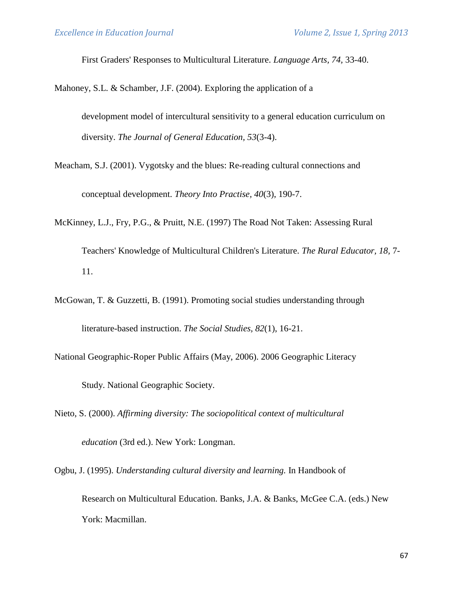First Graders' Responses to Multicultural Literature. *Language Arts, 74,* 33-40.

Mahoney, S.L. & Schamber, J.F. (2004). Exploring the application of a

development model of intercultural sensitivity to a general education curriculum on diversity. *The Journal of General Education, 53*(3-4).

Meacham, S.J. (2001). Vygotsky and the blues: Re-reading cultural connections and conceptual development. *Theory Into Practise, 40*(3), 190-7.

McKinney, L.J., Fry, P.G., & Pruitt, N.E. (1997) The Road Not Taken: Assessing Rural

Teachers' Knowledge of Multicultural Children's Literature. *The Rural Educator, 18,* 7- 11.

- McGowan, T. & Guzzetti, B. (1991). Promoting social studies understanding through literature-based instruction. *The Social Studies, 82*(1), 16-21.
- National Geographic-Roper Public Affairs (May, 2006). 2006 Geographic Literacy Study. National Geographic Society.
- Nieto, S. (2000). *Affirming diversity: The sociopolitical context of multicultural education* (3rd ed.). New York: Longman.

Ogbu, J. (1995). *Understanding cultural diversity and learning.* In Handbook of Research on Multicultural Education. Banks, J.A. & Banks, McGee C.A. (eds.) New York: Macmillan.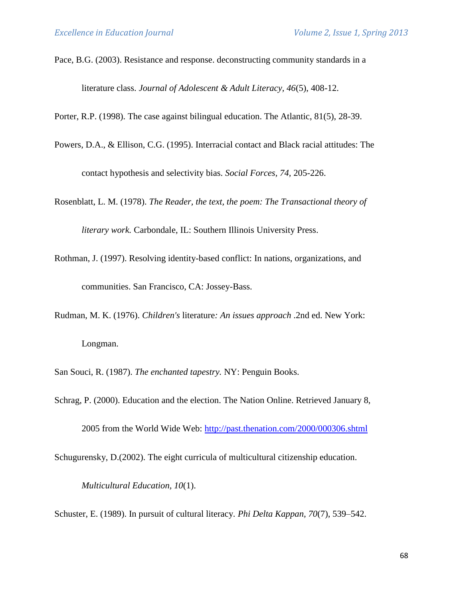Pace, B.G. (2003). Resistance and response. deconstructing community standards in a literature class. *Journal of Adolescent & Adult Literacy, 46*(5), 408-12.

Porter, R.P. (1998). The case against bilingual education. The Atlantic, 81(5), 28-39.

Powers, D.A., & Ellison, C.G. (1995). Interracial contact and Black racial attitudes: The

contact hypothesis and selectivity bias. *Social Forces, 74,* 205-226.

Rosenblatt, L. M. (1978). *The Reader, the text, the poem: The Transactional theory of* 

*literary work.* Carbondale, IL: Southern Illinois University Press.

- Rothman, J. (1997). Resolving identity-based conflict: In nations, organizations, and communities. San Francisco, CA: Jossey-Bass.
- Rudman, M. K. (1976). *Children's* literature*: An issues approach* .2nd ed. New York: Longman.
- San Souci, R. (1987). *The enchanted tapestry.* NY: Penguin Books.
- Schrag, P. (2000). Education and the election. The Nation Online. Retrieved January 8,

2005 from the World Wide Web:<http://past.thenation.com/2000/000306.shtml>

Schugurensky, D.(2002). The eight curricula of multicultural citizenship education.

*Multicultural Education, 10*(1).

Schuster, E. (1989). In pursuit of cultural literacy. *Phi Delta Kappan, 70*(7), 539–542.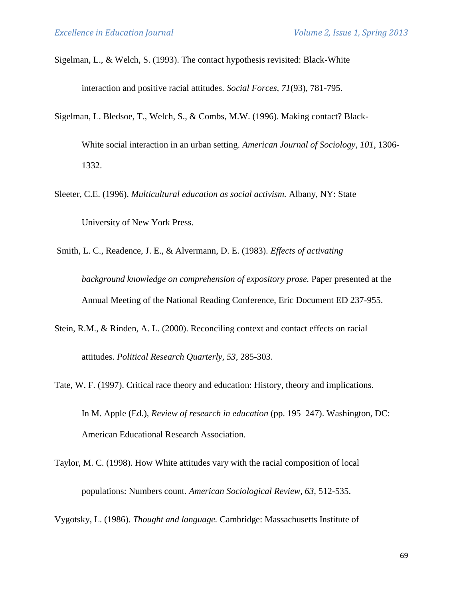Sigelman, L., & Welch, S. (1993). The contact hypothesis revisited: Black-White

interaction and positive racial attitudes. *Social Forces, 71*(93), 781-795.

Sigelman, L. Bledsoe, T., Welch, S., & Combs, M.W. (1996). Making contact? Black-

White social interaction in an urban setting. *American Journal of Sociology, 101*, 1306- 1332.

- Sleeter, C.E. (1996). *Multicultural education as social activism.* Albany, NY: State University of New York Press.
- Smith, L. C., Readence, J. E., & Alvermann, D. E. (1983). *Effects of activating background knowledge on comprehension of expository prose.* Paper presented at the Annual Meeting of the National Reading Conference, Eric Document ED 237-955.
- Stein, R.M., & Rinden, A. L. (2000). Reconciling context and contact effects on racial attitudes. *Political Research Quarterly, 53,* 285-303.
- Tate, W. F. (1997). Critical race theory and education: History, theory and implications. In M. Apple (Ed.), *Review of research in education* (pp. 195–247). Washington, DC: American Educational Research Association.
- Taylor, M. C. (1998). How White attitudes vary with the racial composition of local populations: Numbers count. *American Sociological Review, 63,* 512-535.

Vygotsky, L. (1986). *Thought and language.* Cambridge: Massachusetts Institute of